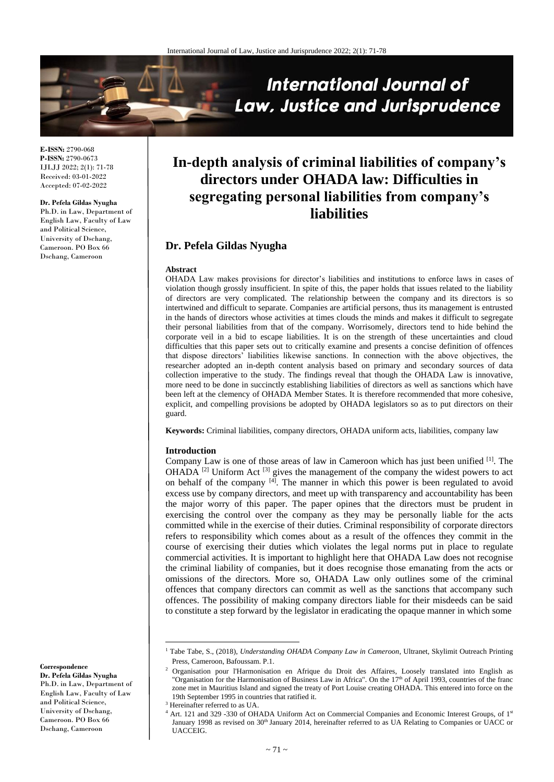

**E-ISSN:** 2790-068 **P-ISSN:** 2790-0673 IJLJJ 2022; 2(1): 71-78 Received: 03-01-2022 Accepted: 07-02-2022

#### **Dr. Pefela Gildas Nyugha**

Ph.D. in Law, Department of English Law, Faculty of Law and Political Science, University of Dschang, Cameroon. PO Box 66 Dschang, Cameroon

# **In-depth analysis of criminal liabilities of company's directors under OHADA law: Difficulties in segregating personal liabilities from company's liabilities**

# **Dr. Pefela Gildas Nyugha**

#### **Abstract**

OHADA Law makes provisions for director's liabilities and institutions to enforce laws in cases of violation though grossly insufficient. In spite of this, the paper holds that issues related to the liability of directors are very complicated. The relationship between the company and its directors is so intertwined and difficult to separate. Companies are artificial persons, thus its management is entrusted in the hands of directors whose activities at times clouds the minds and makes it difficult to segregate their personal liabilities from that of the company. Worrisomely, directors tend to hide behind the corporate veil in a bid to escape liabilities. It is on the strength of these uncertainties and cloud difficulties that this paper sets out to critically examine and presents a concise definition of offences that dispose directors' liabilities likewise sanctions. In connection with the above objectives, the researcher adopted an in-depth content analysis based on primary and secondary sources of data collection imperative to the study. The findings reveal that though the OHADA Law is innovative, more need to be done in succinctly establishing liabilities of directors as well as sanctions which have been left at the clemency of OHADA Member States. It is therefore recommended that more cohesive, explicit, and compelling provisions be adopted by OHADA legislators so as to put directors on their guard.

**Keywords:** Criminal liabilities, company directors, OHADA uniform acts, liabilities, company law

#### **Introduction**

Company Law is one of those areas of law in Cameroon which has just been unified [1] . The  $OHADA$ <sup>[2]</sup> Uniform Act<sup>[3]</sup> gives the management of the company the widest powers to act on behalf of the company [4]. The manner in which this power is been regulated to avoid excess use by company directors, and meet up with transparency and accountability has been the major worry of this paper. The paper opines that the directors must be prudent in exercising the control over the company as they may be personally liable for the acts committed while in the exercise of their duties. Criminal responsibility of corporate directors refers to responsibility which comes about as a result of the offences they commit in the course of exercising their duties which violates the legal norms put in place to regulate commercial activities. It is important to highlight here that OHADA Law does not recognise the criminal liability of companies, but it does recognise those emanating from the acts or omissions of the directors. More so, OHADA Law only outlines some of the criminal offences that company directors can commit as well as the sanctions that accompany such offences. The possibility of making company directors liable for their misdeeds can be said to constitute a step forward by the legislator in eradicating the opaque manner in which some

 $\overline{\phantom{a}}$ 

**Correspondence**

**Dr. Pefela Gildas Nyugha** Ph.D. in Law, Department of English Law, Faculty of Law and Political Science, University of Dschang, Cameroon. PO Box 66 Dschang, Cameroon

<sup>&</sup>lt;sup>1</sup> Tabe Tabe, S., (2018), *Understanding OHADA Company Law in Cameroon*, Ultranet, Skylimit Outreach Printing Press, Cameroon, Bafoussam. P.1.

<sup>2</sup> Organisation pour l'Harmonisation en Afrique du Droit des Affaires, Loosely translated into English as "Organisation for the Harmonisation of Business Law in Africa". On the 17<sup>th</sup> of April 1993, countries of the franc zone met in Mauritius Island and signed the treaty of Port Louise creating OHADA. This entered into force on the 19th September 1995 in countries that ratified it.

<sup>&</sup>lt;sup>3</sup> Hereinafter referred to as UA.

<sup>&</sup>lt;sup>4</sup> Art. 121 and 329 -330 of OHADA Uniform Act on Commercial Companies and Economic Interest Groups, of 1<sup>st</sup> January 1998 as revised on 30<sup>th</sup> January 2014, hereinafter referred to as UA Relating to Companies or UACC or **UACCEIG.**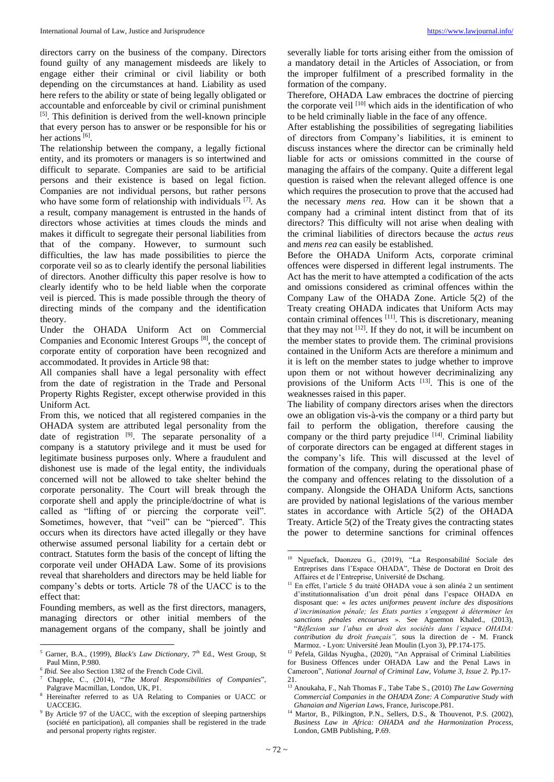directors carry on the business of the company. Directors found guilty of any management misdeeds are likely to engage either their criminal or civil liability or both depending on the circumstances at hand. Liability as used here refers to the ability or state of being legally obligated or accountable and enforceable by civil or criminal punishment [5]. This definition is derived from the well-known principle that every person has to answer or be responsible for his or her actions [6].

The relationship between the company, a legally fictional entity, and its promoters or managers is so intertwined and difficult to separate. Companies are said to be artificial persons and their existence is based on legal fiction. Companies are not individual persons, but rather persons who have some form of relationship with individuals [7]. As a result, company management is entrusted in the hands of directors whose activities at times clouds the minds and makes it difficult to segregate their personal liabilities from that of the company. However, to surmount such difficulties, the law has made possibilities to pierce the corporate veil so as to clearly identify the personal liabilities of directors. Another difficulty this paper resolve is how to clearly identify who to be held liable when the corporate veil is pierced. This is made possible through the theory of directing minds of the company and the identification theory.

Under the OHADA Uniform Act on Commercial Companies and Economic Interest Groups<sup>[8]</sup>, the concept of corporate entity of corporation have been recognized and accommodated. It provides in Article 98 that:

All companies shall have a legal personality with effect from the date of registration in the Trade and Personal Property Rights Register, except otherwise provided in this Uniform Act.

From this, we noticed that all registered companies in the OHADA system are attributed legal personality from the date of registration <sup>[9]</sup>. The separate personality of a company is a statutory privilege and it must be used for legitimate business purposes only. Where a fraudulent and dishonest use is made of the legal entity, the individuals concerned will not be allowed to take shelter behind the corporate personality. The Court will break through the corporate shell and apply the principle/doctrine of what is called as "lifting of or piercing the corporate veil". Sometimes, however, that "veil" can be "pierced". This occurs when its directors have acted illegally or they have otherwise assumed personal liability for a certain debt or contract. Statutes form the basis of the concept of lifting the corporate veil under OHADA Law. Some of its provisions reveal that shareholders and directors may be held liable for company's debts or torts. Article 78 of the UACC is to the effect that:

Founding members, as well as the first directors, managers, managing directors or other initial members of the management organs of the company, shall be jointly and

 $\overline{\phantom{a}}$ 

severally liable for torts arising either from the omission of a mandatory detail in the Articles of Association, or from the improper fulfilment of a prescribed formality in the formation of the company.

Therefore, OHADA Law embraces the doctrine of piercing the corporate veil  $[10]$  which aids in the identification of who to be held criminally liable in the face of any offence.

After establishing the possibilities of segregating liabilities of directors from Company's liabilities, it is eminent to discuss instances where the director can be criminally held liable for acts or omissions committed in the course of managing the affairs of the company. Quite a different legal question is raised when the relevant alleged offence is one which requires the prosecution to prove that the accused had the necessary *mens rea.* How can it be shown that a company had a criminal intent distinct from that of its directors? This difficulty will not arise when dealing with the criminal liabilities of directors because the *actus reus* and *mens rea* can easily be established.

Before the OHADA Uniform Acts, corporate criminal offences were dispersed in different legal instruments. The Act has the merit to have attempted a codification of the acts and omissions considered as criminal offences within the Company Law of the OHADA Zone. Article 5(2) of the Treaty creating OHADA indicates that Uniform Acts may contain criminal offences [11]. This is discretionary, meaning that they may not  $[12]$ . If they do not, it will be incumbent on the member states to provide them. The criminal provisions contained in the Uniform Acts are therefore a minimum and it is left on the member states to judge whether to improve upon them or not without however decriminalizing any provisions of the Uniform Acts [13]. This is one of the weaknesses raised in this paper.

The liability of company directors arises when the directors owe an obligation vis-à-vis the company or a third party but fail to perform the obligation, therefore causing the company or the third party prejudice  $[14]$ . Criminal liability of corporate directors can be engaged at different stages in the company's life. This will discussed at the level of formation of the company, during the operational phase of the company and offences relating to the dissolution of a company. Alongside the OHADA Uniform Acts, sanctions are provided by national legislations of the various member states in accordance with Article 5(2) of the OHADA Treaty. Article 5(2) of the Treaty gives the contracting states the power to determine sanctions for criminal offences

1

<sup>&</sup>lt;sup>5</sup> Garner, B.A., (1999), *Black's Law Dictionary*, 7<sup>th</sup> Ed., West Group, St Paul Minn, P.980.

<sup>6</sup> *Ibid.* See also Section 1382 of the French Code Civil.

<sup>7</sup> Chapple, C., (2014), "*The Moral Responsibilities of Companies*", Palgrave Macmillan, London, UK, P1.

<sup>8</sup> Hereinafter referred to as UA Relating to Companies or UACC or UACCEIG.

<sup>&</sup>lt;sup>9</sup> By Article 97 of the UACC, with the exception of sleeping partnerships (société en participation), all companies shall be registered in the trade and personal property rights register.

<sup>10</sup> Nguefack, Daonzeu G., (2019), "La Responsabilité Sociale des Entreprises dans l'Espace OHADA", Thèse de Doctorat en Droit des Affaires et de l'Entreprise, Université de Dschang.

<sup>&</sup>lt;sup>11</sup> En effet, l'article 5 du traité OHADA voue à son alinéa 2 un sentiment d'institutionnalisation d'un droit pénal dans l'espace OHADA en disposant que: « *les actes uniformes peuvent inclure des dispositions d'incrimination pénale; les Etats parties s'engagent à déterminer les sanctions pénales encourues* ». See Aguemon Khaled., (2013), "*Réflexion sur l'abus en droit des sociétés dans l'espace OHADA: contribution du droit français",* sous la direction de - M. Franck Marmoz. - Lyon: Université Jean Moulin (Lyon 3), PP.174-175.

<sup>12</sup> Pefela, Gildas Nyugha., (2020), "An Appraisal of Criminal Liabilities

for Business Offences under OHADA Law and the Penal Laws in Cameroon", *National Journal of Criminal Law, Volume 3, Issue 2.* Pp.17- 21.

<sup>13</sup> Anoukaha, F., Nah Thomas F., Tabe Tabe S., (2010) *The Law Governing Commercial Companies in the OHADA Zone: A Comparative Study with Ghanaian and Nigerian Laws*, France, Juriscope.P81.

<sup>&</sup>lt;sup>14</sup> Martor, B., Pilkington, P.N., Sellers, D.S., & Thouvenot, P.S. (2002), *Business Law in Africa: OHADA and the Harmonization Process,* London, GMB Publishing, P.69.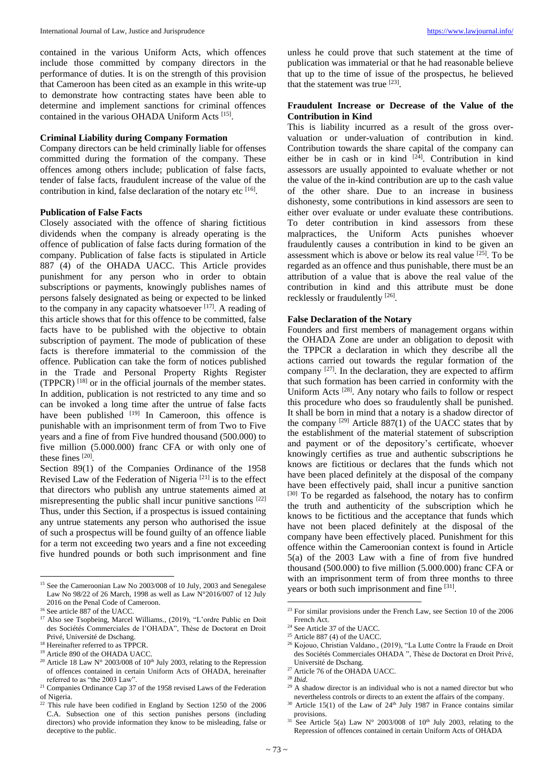contained in the various Uniform Acts, which offences include those committed by company directors in the performance of duties. It is on the strength of this provision that Cameroon has been cited as an example in this write-up to demonstrate how contracting states have been able to determine and implement sanctions for criminal offences contained in the various OHADA Uniform Acts<sup>[15]</sup>.

#### **Criminal Liability during Company Formation**

Company directors can be held criminally liable for offenses committed during the formation of the company. These offences among others include; publication of false facts, tender of false facts, fraudulent increase of the value of the contribution in kind, false declaration of the notary etc [16].

#### **Publication of False Facts**

Closely associated with the offence of sharing fictitious dividends when the company is already operating is the offence of publication of false facts during formation of the company. Publication of false facts is stipulated in Article 887 (4) of the OHADA UACC. This Article provides punishment for any person who in order to obtain subscriptions or payments, knowingly publishes names of persons falsely designated as being or expected to be linked to the company in any capacity whatsoever  $[17]$ . A reading of this article shows that for this offence to be committed, false facts have to be published with the objective to obtain subscription of payment. The mode of publication of these facts is therefore immaterial to the commission of the offence. Publication can take the form of notices published in the Trade and Personal Property Rights Register (TPPCR) [18] or in the official journals of the member states. In addition, publication is not restricted to any time and so can be invoked a long time after the untrue of false facts have been published <sup>[19]</sup> In Cameroon, this offence is punishable with an imprisonment term of from Two to Five years and a fine of from Five hundred thousand (500.000) to five million (5.000.000) franc CFA or with only one of these fines  $^{[20]}$ .

Section 89(1) of the Companies Ordinance of the 1958 Revised Law of the Federation of Nigeria<sup>[21]</sup> is to the effect that directors who publish any untrue statements aimed at misrepresenting the public shall incur punitive sanctions [22] Thus, under this Section, if a prospectus is issued containing any untrue statements any person who authorised the issue of such a prospectus will be found guilty of an offence liable for a term not exceeding two years and a fine not exceeding five hundred pounds or both such imprisonment and fine

 $\overline{\phantom{a}}$ 

unless he could prove that such statement at the time of publication was immaterial or that he had reasonable believe that up to the time of issue of the prospectus, he believed that the statement was true  $^{[23]}$ .

# **Fraudulent Increase or Decrease of the Value of the Contribution in Kind**

This is liability incurred as a result of the gross overvaluation or under-valuation of contribution in kind. Contribution towards the share capital of the company can either be in cash or in kind <sup>[24]</sup>. Contribution in kind assessors are usually appointed to evaluate whether or not the value of the in-kind contribution are up to the cash value of the other share. Due to an increase in business dishonesty, some contributions in kind assessors are seen to either over evaluate or under evaluate these contributions. To deter contribution in kind assessors from these malpractices, the Uniform Acts punishes whoever fraudulently causes a contribution in kind to be given an assessment which is above or below its real value  $[25]$ . To be regarded as an offence and thus punishable, there must be an attribution of a value that is above the real value of the contribution in kind and this attribute must be done recklessly or fraudulently [26].

#### **False Declaration of the Notary**

Founders and first members of management organs within the OHADA Zone are under an obligation to deposit with the TPPCR a declaration in which they describe all the actions carried out towards the regular formation of the company [27] . In the declaration, they are expected to affirm that such formation has been carried in conformity with the Uniform Acts<sup>[28]</sup>. Any notary who fails to follow or respect this procedure who does so fraudulently shall be punished. It shall be born in mind that a notary is a shadow director of the company  $[29]$  Article 887(1) of the UACC states that by the establishment of the material statement of subscription and payment or of the depository's certificate, whoever knowingly certifies as true and authentic subscriptions he knows are fictitious or declares that the funds which not have been placed definitely at the disposal of the company have been effectively paid, shall incur a punitive sanction  $[30]$  To be regarded as falsehood, the notary has to confirm the truth and authenticity of the subscription which he knows to be fictitious and the acceptance that funds which have not been placed definitely at the disposal of the company have been effectively placed. Punishment for this offence within the Cameroonian context is found in Article 5(a) of the 2003 Law with a fine of from five hundred thousand (500.000) to five million (5.000.000) franc CFA or with an imprisonment term of from three months to three years or both such imprisonment and fine [31].

1

<sup>&</sup>lt;sup>15</sup> See the Cameroonian Law No 2003/008 of 10 July, 2003 and Senegalese Law No 98/22 of 26 March, 1998 as well as Law N°2016/007 of 12 July 2016 on the Penal Code of Cameroon.

<sup>16</sup> See article 887 of the UACC.

<sup>17</sup> Also see Tsopbeing, Marcel Williams., (2019), "L'ordre Public en Doit des Sociétés Commerciales de l'OHADA", Thèse de Doctorat en Droit Privé, Université de Dschang.

<sup>18</sup> Hereinafter referred to as TPPCR. <sup>19</sup> Article 890 of the OHADA UACC.

<sup>&</sup>lt;sup>20</sup> Article 18 Law N° 2003/008 of 10<sup>th</sup> July 2003, relating to the Repression of offences contained in certain Uniform Acts of OHADA, hereinafter referred to as "the 2003 Law".

<sup>&</sup>lt;sup>21</sup> Companies Ordinance Cap 37 of the 1958 revised Laws of the Federation of Nigeria.

 $22$  This rule have been codified in England by Section 1250 of the 2006 C.A. Subsection one of this section punishes persons (including directors) who provide information they know to be misleading, false or deceptive to the public.

 $23$  For similar provisions under the French Law, see Section 10 of the 2006 French Act.

<sup>&</sup>lt;sup>24</sup> See Article 37 of the UACC.

 $25$  Article 887 (4) of the UACC.

<sup>26</sup> Kojouo, Christian Valdano., (2019), "La Lutte Contre la Fraude en Droit des Sociétés Commerciales OHADA ", Thèse de Doctorat en Droit Privé, Université de Dschang.

<sup>&</sup>lt;sup>27</sup> Article 76 of the OHADA UACC. <sup>28</sup> *Ibid.*

 $29$  A shadow director is an individual who is not a named director but who nevertheless controls or directs to an extent the affairs of the company.

 $30$  Article 15(1) of the Law of 24<sup>th</sup> July 1987 in France contains similar provisions.

<sup>&</sup>lt;sup>31</sup> See Article 5(a) Law N° 2003/008 of 10<sup>th</sup> July 2003, relating to the Repression of offences contained in certain Uniform Acts of OHADA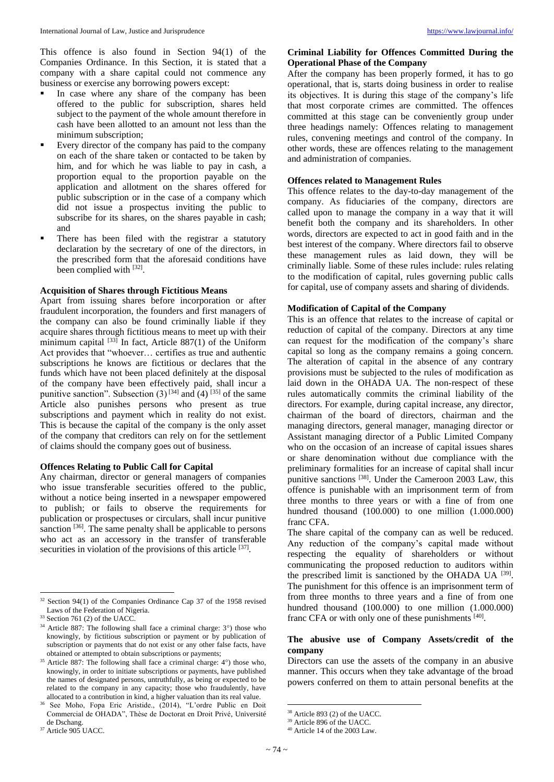This offence is also found in Section 94(1) of the Companies Ordinance. In this Section, it is stated that a company with a share capital could not commence any business or exercise any borrowing powers except:

- In case where any share of the company has been offered to the public for subscription, shares held subject to the payment of the whole amount therefore in cash have been allotted to an amount not less than the minimum subscription;
- Every director of the company has paid to the company on each of the share taken or contacted to be taken by him, and for which he was liable to pay in cash, a proportion equal to the proportion payable on the application and allotment on the shares offered for public subscription or in the case of a company which did not issue a prospectus inviting the public to subscribe for its shares, on the shares payable in cash; and
- There has been filed with the registrar a statutory declaration by the secretary of one of the directors, in the prescribed form that the aforesaid conditions have been complied with [32].

#### **Acquisition of Shares through Fictitious Means**

Apart from issuing shares before incorporation or after fraudulent incorporation, the founders and first managers of the company can also be found criminally liable if they acquire shares through fictitious means to meet up with their minimum capital <sup>[33]</sup> In fact, Article 887(1) of the Uniform Act provides that "whoever… certifies as true and authentic subscriptions he knows are fictitious or declares that the funds which have not been placed definitely at the disposal of the company have been effectively paid, shall incur a punitive sanction". Subsection  $(3)^{[34]}$  and  $(4)^{[35]}$  of the same Article also punishes persons who present as true subscriptions and payment which in reality do not exist. This is because the capital of the company is the only asset of the company that creditors can rely on for the settlement of claims should the company goes out of business.

### **Offences Relating to Public Call for Capital**

Any chairman, director or general managers of companies who issue transferable securities offered to the public, without a notice being inserted in a newspaper empowered to publish; or fails to observe the requirements for publication or prospectuses or circulars, shall incur punitive sanction <sup>[36]</sup>. The same penalty shall be applicable to persons who act as an accessory in the transfer of transferable securities in violation of the provisions of this article [37].

 $\overline{\phantom{a}}$ 

<sup>36</sup> See Moho, Fopa Eric Aristide., (2014), "L'ordre Public en Doit Commercial de OHADA", Thèse de Doctorat en Droit Privé, Université de Dschang.

# **Criminal Liability for Offences Committed During the Operational Phase of the Company**

After the company has been properly formed, it has to go operational, that is, starts doing business in order to realise its objectives. It is during this stage of the company's life that most corporate crimes are committed. The offences committed at this stage can be conveniently group under three headings namely: Offences relating to management rules, convening meetings and control of the company. In other words, these are offences relating to the management and administration of companies.

#### **Offences related to Management Rules**

This offence relates to the day-to-day management of the company. As fiduciaries of the company, directors are called upon to manage the company in a way that it will benefit both the company and its shareholders. In other words, directors are expected to act in good faith and in the best interest of the company. Where directors fail to observe these management rules as laid down, they will be criminally liable. Some of these rules include: rules relating to the modification of capital, rules governing public calls for capital, use of company assets and sharing of dividends.

#### **Modification of Capital of the Company**

This is an offence that relates to the increase of capital or reduction of capital of the company. Directors at any time can request for the modification of the company's share capital so long as the company remains a going concern. The alteration of capital in the absence of any contrary provisions must be subjected to the rules of modification as laid down in the OHADA UA. The non-respect of these rules automatically commits the criminal liability of the directors. For example, during capital increase, any director, chairman of the board of directors, chairman and the managing directors, general manager, managing director or Assistant managing director of a Public Limited Company who on the occasion of an increase of capital issues shares or share denomination without due compliance with the preliminary formalities for an increase of capital shall incur punitive sanctions <sup>[38]</sup>. Under the Cameroon 2003 Law, this offence is punishable with an imprisonment term of from three months to three years or with a fine of from one hundred thousand (100.000) to one million (1.000.000) franc CFA.

The share capital of the company can as well be reduced. Any reduction of the company's capital made without respecting the equality of shareholders or without communicating the proposed reduction to auditors within the prescribed limit is sanctioned by the OHADA UA <sup>[39]</sup>. The punishment for this offence is an imprisonment term of from three months to three years and a fine of from one hundred thousand (100.000) to one million (1.000.000) franc CFA or with only one of these punishments [40].

## **The abusive use of Company Assets/credit of the company**

Directors can use the assets of the company in an abusive manner. This occurs when they take advantage of the broad powers conferred on them to attain personal benefits at the

**.** 

<sup>&</sup>lt;sup>32</sup> Section 94(1) of the Companies Ordinance Cap 37 of the 1958 revised Laws of the Federation of Nigeria.

<sup>&</sup>lt;sup>33</sup> Section 761 (2) of the UACC.

 $34$  Article 887: The following shall face a criminal charge:  $3^{\circ}$ ) those who knowingly, by fictitious subscription or payment or by publication of subscription or payments that do not exist or any other false facts, have obtained or attempted to obtain subscriptions or payments;

 $35$  Article 887: The following shall face a criminal charge:  $4^{\circ}$ ) those who, knowingly, in order to initiate subscriptions or payments, have published the names of designated persons, untruthfully, as being or expected to be related to the company in any capacity; those who fraudulently, have allocated to a contribution in kind, a higher valuation than its real value.

<sup>37</sup> Article 905 UACC.

<sup>38</sup> Article 893 (2) of the UACC.

<sup>39</sup> Article 896 of the UACC.

<sup>40</sup> Article 14 of the 2003 Law.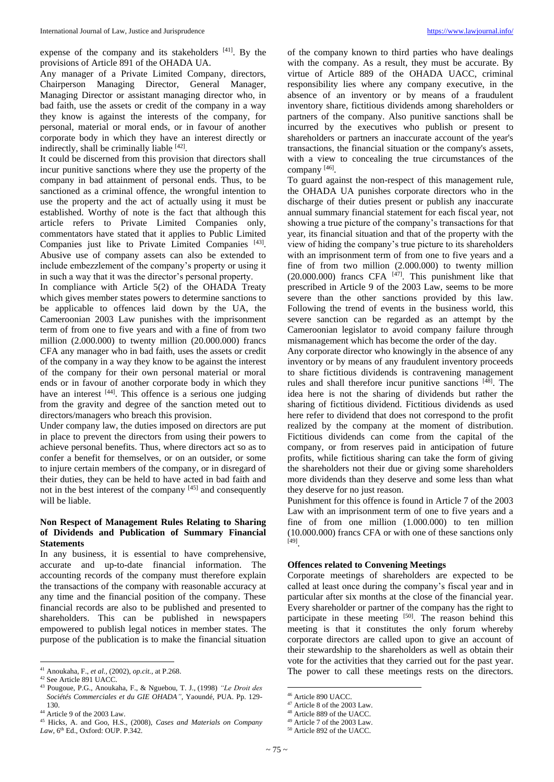expense of the company and its stakeholders [41]. By the provisions of Article 891 of the OHADA UA.

Any manager of a Private Limited Company, directors, Chairperson Managing Director, General Manager, Managing Director or assistant managing director who, in bad faith, use the assets or credit of the company in a way they know is against the interests of the company, for personal, material or moral ends, or in favour of another corporate body in which they have an interest directly or indirectly, shall be criminally liable [42].

It could be discerned from this provision that directors shall incur punitive sanctions where they use the property of the company in bad attainment of personal ends. Thus, to be sanctioned as a criminal offence, the wrongful intention to use the property and the act of actually using it must be established. Worthy of note is the fact that although this article refers to Private Limited Companies only, commentators have stated that it applies to Public Limited Companies just like to Private Limited Companies [43]. Abusive use of company assets can also be extended to include embezzlement of the company's property or using it in such a way that it was the director's personal property.

In compliance with Article 5(2) of the OHADA Treaty which gives member states powers to determine sanctions to be applicable to offences laid down by the UA, the Cameroonian 2003 Law punishes with the imprisonment term of from one to five years and with a fine of from two million (2.000.000) to twenty million (20.000.000) francs CFA any manager who in bad faith, uses the assets or credit of the company in a way they know to be against the interest of the company for their own personal material or moral ends or in favour of another corporate body in which they have an interest [44]. This offence is a serious one judging from the gravity and degree of the sanction meted out to directors/managers who breach this provision.

Under company law, the duties imposed on directors are put in place to prevent the directors from using their powers to achieve personal benefits. Thus, where directors act so as to confer a benefit for themselves, or on an outsider, or some to injure certain members of the company, or in disregard of their duties, they can be held to have acted in bad faith and not in the best interest of the company [45] and consequently will be liable.

## **Non Respect of Management Rules Relating to Sharing of Dividends and Publication of Summary Financial Statements**

In any business, it is essential to have comprehensive, accurate and up-to-date financial information. The accounting records of the company must therefore explain the transactions of the company with reasonable accuracy at any time and the financial position of the company. These financial records are also to be published and presented to shareholders. This can be published in newspapers empowered to publish legal notices in member states. The purpose of the publication is to make the financial situation

 $\overline{\phantom{a}}$ 

of the company known to third parties who have dealings with the company. As a result, they must be accurate. By virtue of Article 889 of the OHADA UACC, criminal responsibility lies where any company executive, in the absence of an inventory or by means of a fraudulent inventory share, fictitious dividends among shareholders or partners of the company. Also punitive sanctions shall be incurred by the executives who publish or present to shareholders or partners an inaccurate account of the year's transactions, the financial situation or the company's assets, with a view to concealing the true circumstances of the company [46].

To guard against the non-respect of this management rule, the OHADA UA punishes corporate directors who in the discharge of their duties present or publish any inaccurate annual summary financial statement for each fiscal year, not showing a true picture of the company's transactions for that year, its financial situation and that of the property with the view of hiding the company's true picture to its shareholders with an imprisonment term of from one to five years and a fine of from two million (2.000.000) to twenty million  $(20.000.000)$  francs CFA  $[47]$ . This punishment like that prescribed in Article 9 of the 2003 Law, seems to be more severe than the other sanctions provided by this law. Following the trend of events in the business world, this severe sanction can be regarded as an attempt by the Cameroonian legislator to avoid company failure through mismanagement which has become the order of the day.

Any corporate director who knowingly in the absence of any inventory or by means of any fraudulent inventory proceeds to share fictitious dividends is contravening management rules and shall therefore incur punitive sanctions [48] . The idea here is not the sharing of dividends but rather the sharing of fictitious dividend. Fictitious dividends as used here refer to dividend that does not correspond to the profit realized by the company at the moment of distribution. Fictitious dividends can come from the capital of the company, or from reserves paid in anticipation of future profits, while fictitious sharing can take the form of giving the shareholders not their due or giving some shareholders more dividends than they deserve and some less than what they deserve for no just reason.

Punishment for this offence is found in Article 7 of the 2003 Law with an imprisonment term of one to five years and a fine of from one million (1.000.000) to ten million (10.000.000) francs CFA or with one of these sanctions only [49] .

#### **Offences related to Convening Meetings**

Corporate meetings of shareholders are expected to be called at least once during the company's fiscal year and in particular after six months at the close of the financial year. Every shareholder or partner of the company has the right to participate in these meeting [50]. The reason behind this meeting is that it constitutes the only forum whereby corporate directors are called upon to give an account of their stewardship to the shareholders as well as obtain their vote for the activities that they carried out for the past year. The power to call these meetings rests on the directors.

**.** 

<sup>41</sup> Anoukaha, F., *et al.,* (2002), *op.cit.,* at P.268.

<sup>42</sup> See Article 891 UACC.

<sup>43</sup> Pougoue, P.G., Anoukaha, F., & Nguebou, T. J., (1998) *"Le Droit des Sociétés Commerciales et du GIE OHADA"*, Yaoundé, PUA. Pp. 129- 130.

<sup>44</sup> Article 9 of the 2003 Law.

<sup>45</sup> Hicks, A. and Goo, H.S., (2008), *Cases and Materials on Company*  Law, 6<sup>th</sup> Ed., Oxford: OUP. P.342.

<sup>46</sup> Article 890 UACC.

<sup>47</sup> Article 8 of the 2003 Law.

<sup>48</sup> Article 889 of the UACC.

<sup>49</sup> Article 7 of the 2003 Law.

<sup>50</sup> Article 892 of the UACC.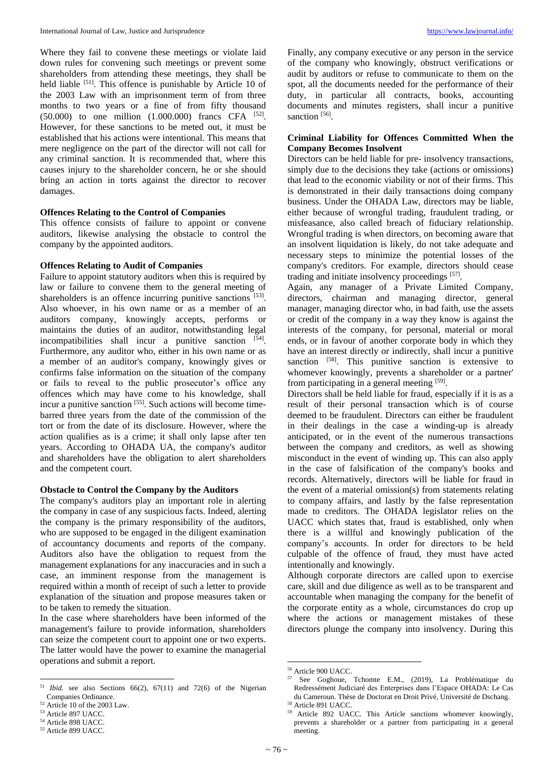Where they fail to convene these meetings or violate laid down rules for convening such meetings or prevent some shareholders from attending these meetings, they shall be held liable <sup>[51]</sup>. This offence is punishable by Article 10 of the 2003 Law with an imprisonment term of from three months to two years or a fine of from fifty thousand  $(50.000)$  to one million  $(1.000.000)$  francs CFA  $^{[52]}$ . However, for these sanctions to be meted out, it must be established that his actions were intentional. This means that mere negligence on the part of the director will not call for any criminal sanction. It is recommended that, where this causes injury to the shareholder concern, he or she should bring an action in torts against the director to recover damages.

#### **Offences Relating to the Control of Companies**

This offence consists of failure to appoint or convene auditors, likewise analysing the obstacle to control the company by the appointed auditors.

#### **Offences Relating to Audit of Companies**

Failure to appoint statutory auditors when this is required by law or failure to convene them to the general meeting of shareholders is an offence incurring punitive sanctions [53]. Also whoever, in his own name or as a member of an auditors company, knowingly accepts, performs or maintains the duties of an auditor, notwithstanding legal incompatibilities shall incur a punitive sanction [54]. Furthermore, any auditor who, either in his own name or as a member of an auditor's company, knowingly gives or confirms false information on the situation of the company or fails to reveal to the public prosecutor's office any offences which may have come to his knowledge, shall incur a punitive sanction [55]. Such actions will become timebarred three years from the date of the commission of the tort or from the date of its disclosure. However, where the action qualifies as is a crime; it shall only lapse after ten years. According to OHADA UA, the company's auditor and shareholders have the obligation to alert shareholders and the competent court.

#### **Obstacle to Control the Company by the Auditors**

The company's auditors play an important role in alerting the company in case of any suspicious facts. Indeed, alerting the company is the primary responsibility of the auditors, who are supposed to be engaged in the diligent examination of accountancy documents and reports of the company. Auditors also have the obligation to request from the management explanations for any inaccuracies and in such a case, an imminent response from the management is required within a month of receipt of such a letter to provide explanation of the situation and propose measures taken or to be taken to remedy the situation.

In the case where shareholders have been informed of the management's failure to provide information, shareholders can seize the competent court to appoint one or two experts. The latter would have the power to examine the managerial operations and submit a report.

Finally, any company executive or any person in the service of the company who knowingly, obstruct verifications or audit by auditors or refuse to communicate to them on the spot, all the documents needed for the performance of their duty, in particular all contracts, books, accounting documents and minutes registers, shall incur a punitive sanction [56].

## **Criminal Liability for Offences Committed When the Company Becomes Insolvent**

Directors can be held liable for pre- insolvency transactions, simply due to the decisions they take (actions or omissions) that lead to the economic viability or not of their firms. This is demonstrated in their daily transactions doing company business. Under the OHADA Law, directors may be liable, either because of wrongful trading, fraudulent trading, or misfeasance, also called breach of fiduciary relationship. Wrongful trading is when directors, on becoming aware that an insolvent liquidation is likely, do not take adequate and necessary steps to minimize the potential losses of the company's creditors. For example, directors should cease trading and initiate insolvency proceedings [57].

Again, any manager of a Private Limited Company, directors, chairman and managing director, general manager, managing director who, in bad faith, use the assets or credit of the company in a way they know is against the interests of the company, for personal, material or moral ends, or in favour of another corporate body in which they have an interest directly or indirectly, shall incur a punitive sanction <sup>[58]</sup>. This punitive sanction is extensive to whomever knowingly, prevents a shareholder or a partner' from participating in a general meeting [59].

Directors shall be held liable for fraud, especially if it is as a result of their personal transaction which is of course deemed to be fraudulent. Directors can either be fraudulent in their dealings in the case a winding-up is already anticipated, or in the event of the numerous transactions between the company and creditors, as well as showing misconduct in the event of winding up. This can also apply in the case of falsification of the company's books and records. Alternatively, directors will be liable for fraud in the event of a material omission(s) from statements relating to company affairs, and lastly by the false representation made to creditors. The OHADA legislator relies on the UACC which states that, fraud is established, only when there is a willful and knowingly publication of the company's accounts. In order for directors to be held culpable of the offence of fraud, they must have acted intentionally and knowingly.

Although corporate directors are called upon to exercise care, skill and due diligence as well as to be transparent and accountable when managing the company for the benefit of the corporate entity as a whole, circumstances do crop up where the actions or management mistakes of these directors plunge the company into insolvency. During this

**.** 

<sup>51</sup> *Ibid.* see also Sections  $66(2)$ ,  $67(11)$  and  $72(6)$  of the Nigerian Companies Ordinance.

<sup>52</sup> Article 10 of the 2003 Law.

<sup>53</sup> Article 897 UACC.

<sup>54</sup> Article 898 UACC.

<sup>55</sup> Article 899 UACC.

<sup>56</sup> Article 900 UACC.

<sup>57</sup> See Goghoue, Tchomte E.M., (2019), La Problématique du Redressément Judiciaré des Enterprises dans l'Espace OHADA: Le Cas du Cameroun. Thèse de Doctorat en Droit Privé, Université de Dschang. <sup>58</sup> Article 891 UACC.

<sup>59</sup> Article 892 UACC. This Article sanctions whomever knowingly, prevents a shareholder or a partner from participating in a general meeting.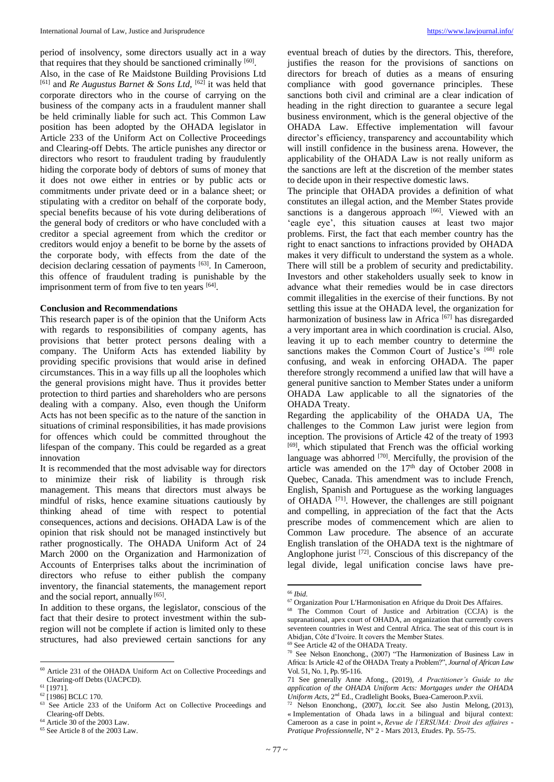period of insolvency, some directors usually act in a way that requires that they should be sanctioned criminally [60].

Also, in the case of Re Maidstone Building Provisions Ltd <sup>[61]</sup> and *Re Augustus Barnet & Sons Ltd*, <sup>[62]</sup> it was held that corporate directors who in the course of carrying on the business of the company acts in a fraudulent manner shall be held criminally liable for such act. This Common Law position has been adopted by the OHADA legislator in Article 233 of the Uniform Act on Collective Proceedings and Clearing-off Debts. The article punishes any director or directors who resort to fraudulent trading by fraudulently hiding the corporate body of debtors of sums of money that it does not owe either in entries or by public acts or commitments under private deed or in a balance sheet; or stipulating with a creditor on behalf of the corporate body, special benefits because of his vote during deliberations of the general body of creditors or who have concluded with a creditor a special agreement from which the creditor or creditors would enjoy a benefit to be borne by the assets of the corporate body, with effects from the date of the decision declaring cessation of payments [63]. In Cameroon, this offence of fraudulent trading is punishable by the imprisonment term of from five to ten years [64].

## **Conclusion and Recommendations**

This research paper is of the opinion that the Uniform Acts with regards to responsibilities of company agents, has provisions that better protect persons dealing with a company. The Uniform Acts has extended liability by providing specific provisions that would arise in defined circumstances. This in a way fills up all the loopholes which the general provisions might have. Thus it provides better protection to third parties and shareholders who are persons dealing with a company. Also, even though the Uniform Acts has not been specific as to the nature of the sanction in situations of criminal responsibilities, it has made provisions for offences which could be committed throughout the lifespan of the company. This could be regarded as a great innovation

It is recommended that the most advisable way for directors to minimize their risk of liability is through risk management. This means that directors must always be mindful of risks, hence examine situations cautiously by thinking ahead of time with respect to potential consequences, actions and decisions. OHADA Law is of the opinion that risk should not be managed instinctively but rather prognostically. The OHADA Uniform Act of 24 March 2000 on the Organization and Harmonization of Accounts of Enterprises talks about the incrimination of directors who refuse to either publish the company inventory, the financial statements, the management report and the social report, annually [65].

In addition to these organs, the legislator, conscious of the fact that their desire to protect investment within the subregion will not be complete if action is limited only to these structures, had also previewed certain sanctions for any

 $\overline{\phantom{a}}$ 

eventual breach of duties by the directors. This, therefore, justifies the reason for the provisions of sanctions on directors for breach of duties as a means of ensuring compliance with good governance principles. These sanctions both civil and criminal are a clear indication of heading in the right direction to guarantee a secure legal business environment, which is the general objective of the OHADA Law. Effective implementation will favour director's efficiency, transparency and accountability which will instill confidence in the business arena. However, the applicability of the OHADA Law is not really uniform as the sanctions are left at the discretion of the member states to decide upon in their respective domestic laws.

The principle that OHADA provides a definition of what constitutes an illegal action, and the Member States provide sanctions is a dangerous approach [66]. Viewed with an 'eagle eye', this situation causes at least two major problems. First, the fact that each member country has the right to enact sanctions to infractions provided by OHADA makes it very difficult to understand the system as a whole. There will still be a problem of security and predictability. Investors and other stakeholders usually seek to know in advance what their remedies would be in case directors commit illegalities in the exercise of their functions. By not settling this issue at the OHADA level, the organization for harmonization of business law in Africa<sup>[67]</sup> has disregarded a very important area in which coordination is crucial. Also, leaving it up to each member country to determine the sanctions makes the Common Court of Justice's [68] role confusing, and weak in enforcing OHADA. The paper therefore strongly recommend a unified law that will have a general punitive sanction to Member States under a uniform OHADA Law applicable to all the signatories of the OHADA Treaty.

Regarding the applicability of the OHADA UA, The challenges to the Common Law jurist were legion from inception. The provisions of Article 42 of the treaty of 1993 [69], which stipulated that French was the official working language was abhorred  $[70]$ . Mercifully, the provision of the article was amended on the  $17<sup>th</sup>$  day of October 2008 in Quebec, Canada. This amendment was to include French, English, Spanish and Portuguese as the working languages of OHADA [71] . However, the challenges are still poignant and compelling, in appreciation of the fact that the Acts prescribe modes of commencement which are alien to Common Law procedure. The absence of an accurate English translation of the OHADA text is the nightmare of Anglophone jurist <sup>[72]</sup>. Conscious of this discrepancy of the legal divide, legal unification concise laws have pre-

1

<sup>60</sup> Article 231 of the OHADA Uniform Act on Collective Proceedings and Clearing-off Debts (UACPCD).

<sup>61</sup> [1971].

<sup>&</sup>lt;sup>62</sup> [1986] BCLC 170.

<sup>&</sup>lt;sup>63</sup> See Article 233 of the Uniform Act on Collective Proceedings and Clearing-off Debts.

<sup>64</sup> Article 30 of the 2003 Law.

<sup>65</sup> See Article 8 of the 2003 Law.

<sup>66</sup> *Ibid.*

<sup>67</sup> Organization Pour L'Harmonisation en Afrique du Droit Des Affaires.

<sup>68</sup> The Common Court of Justice and Arbitration (CCJA) is the supranational, apex court of OHADA, an organization that currently covers seventeen countries in West and Central Africa. The seat of this court is in Abidjan, Côte d'Ivoire. It covers the Member States.

<sup>69</sup> See Article 42 of the OHADA Treaty.

<sup>70</sup> See Nelson Enonchong., (2007) "The Harmonization of Business Law in Africa: Is Article 42 of the OHADA Treaty a Problem?", *Journal of African Law* [Vol. 51, No. 1,](https://www.jstor.org/stable/i27607975?refreqid=excelsior%3A1be40c751192392f93ff78a1072b35f3) Pp. 95-116.

<sup>71</sup> See generally Anne Afong., (2019), *A Practitioner's Guide to the application of the OHADA Uniform Acts: Mortgages under the OHADA Uniform Acts*, 2nd Ed., Cradlelight Books, Buea-Cameroon.P.xvii.

<sup>&</sup>lt;sup>72</sup> Nelson Enonchong., (2007), *loc.cit.* See also Justin Melong, (2013), « Implementation of Ohada laws in a bilingual and bijural context: Cameroon as a case in point », *Revue de l'ERSUMA: Droit des affaires - Pratique Professionnelle*, N° 2 - Mars 2013, *Etudes*. Pp. 55-75.